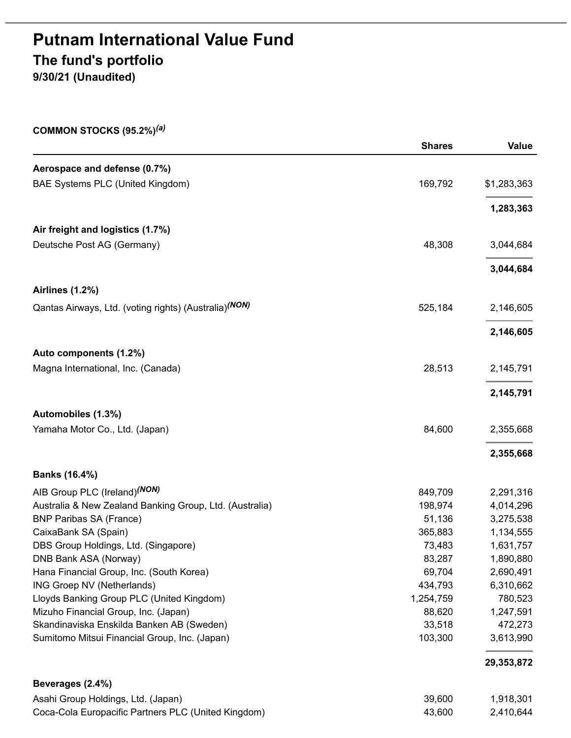# **Putnam International Value Fund The fund's portfolio**

**9/30/21 (Unaudited)**

**COMMON STOCKS (95.2%)** *(a)*

|                                                                   | <b>Shares</b> | Value       |
|-------------------------------------------------------------------|---------------|-------------|
| Aerospace and defense (0.7%)                                      |               |             |
| BAE Systems PLC (United Kingdom)                                  | 169,792       | \$1,283,363 |
|                                                                   |               | 1,283,363   |
| Air freight and logistics (1.7%)                                  |               |             |
| Deutsche Post AG (Germany)                                        | 48,308        | 3,044,684   |
|                                                                   |               | 3,044,684   |
| <b>Airlines (1.2%)</b>                                            |               |             |
| Qantas Airways, Ltd. (voting rights) (Australia) <sup>(NON)</sup> | 525,184       | 2,146,605   |
|                                                                   |               | 2,146,605   |
| Auto components (1.2%)                                            |               |             |
| Magna International, Inc. (Canada)                                | 28,513        | 2,145,791   |
|                                                                   |               | 2,145,791   |
| Automobiles (1.3%)                                                |               |             |
| Yamaha Motor Co., Ltd. (Japan)                                    | 84,600        | 2,355,668   |
|                                                                   |               | 2,355,668   |
| Banks (16.4%)                                                     |               |             |
| AIB Group PLC (Ireland) <sup>(NON)</sup>                          | 849,709       | 2,291,316   |
| Australia & New Zealand Banking Group, Ltd. (Australia)           | 198,974       | 4,014,296   |
| <b>BNP Paribas SA (France)</b>                                    | 51,136        | 3,275,538   |
| CaixaBank SA (Spain)                                              | 365,883       | 1,134,555   |
| DBS Group Holdings, Ltd. (Singapore)                              | 73,483        | 1,631,757   |
| DNB Bank ASA (Norway)                                             | 83,287        | 1,890,880   |
| Hana Financial Group, Inc. (South Korea)                          | 69,704        | 2,690,491   |
| ING Groep NV (Netherlands)                                        | 434,793       | 6,310,662   |
| Lloyds Banking Group PLC (United Kingdom)                         | 1,254,759     | 780,523     |
| Mizuho Financial Group, Inc. (Japan)                              | 88,620        | 1,247,591   |
| Skandinaviska Enskilda Banken AB (Sweden)                         | 33,518        | 472,273     |
| Sumitomo Mitsui Financial Group, Inc. (Japan)                     | 103,300       | 3,613,990   |
|                                                                   |               | 29,353,872  |
| Beverages (2.4%)                                                  |               |             |
| Asahi Group Holdings, Ltd. (Japan)                                | 39,600        | 1,918,301   |
| Coca-Cola Europacific Partners PLC (United Kingdom)               | 43,600        | 2,410,644   |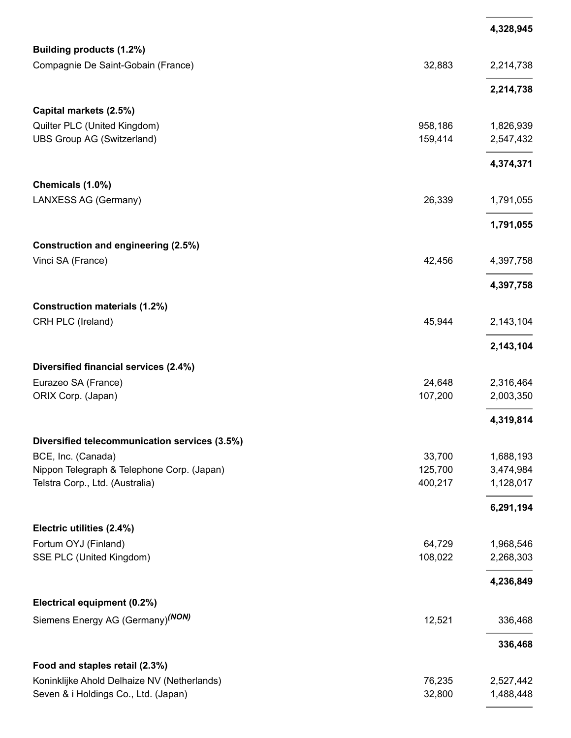|                                               |         | 4,328,945 |
|-----------------------------------------------|---------|-----------|
| Building products (1.2%)                      |         |           |
| Compagnie De Saint-Gobain (France)            | 32,883  | 2,214,738 |
|                                               |         | 2,214,738 |
| Capital markets (2.5%)                        |         |           |
| Quilter PLC (United Kingdom)                  | 958,186 | 1,826,939 |
| <b>UBS Group AG (Switzerland)</b>             | 159,414 | 2,547,432 |
|                                               |         | 4,374,371 |
| Chemicals (1.0%)                              |         |           |
| LANXESS AG (Germany)                          | 26,339  | 1,791,055 |
|                                               |         | 1,791,055 |
| <b>Construction and engineering (2.5%)</b>    |         |           |
| Vinci SA (France)                             | 42,456  | 4,397,758 |
|                                               |         | 4,397,758 |
| <b>Construction materials (1.2%)</b>          |         |           |
| CRH PLC (Ireland)                             | 45,944  | 2,143,104 |
|                                               |         | 2,143,104 |
| Diversified financial services (2.4%)         |         |           |
| Eurazeo SA (France)                           | 24,648  | 2,316,464 |
| ORIX Corp. (Japan)                            | 107,200 | 2,003,350 |
|                                               |         | 4,319,814 |
| Diversified telecommunication services (3.5%) |         |           |
| BCE, Inc. (Canada)                            | 33,700  | 1,688,193 |
| Nippon Telegraph & Telephone Corp. (Japan)    | 125,700 | 3,474,984 |
| Telstra Corp., Ltd. (Australia)               | 400,217 | 1,128,017 |
|                                               |         | 6,291,194 |
| Electric utilities (2.4%)                     |         |           |
| Fortum OYJ (Finland)                          | 64,729  | 1,968,546 |
| SSE PLC (United Kingdom)                      | 108,022 | 2,268,303 |
|                                               |         | 4,236,849 |
| Electrical equipment (0.2%)                   |         |           |
| Siemens Energy AG (Germany) <sup>(NON)</sup>  | 12,521  | 336,468   |
|                                               |         | 336,468   |
| Food and staples retail (2.3%)                |         |           |
| Koninklijke Ahold Delhaize NV (Netherlands)   | 76,235  | 2,527,442 |
| Seven & i Holdings Co., Ltd. (Japan)          | 32,800  | 1,488,448 |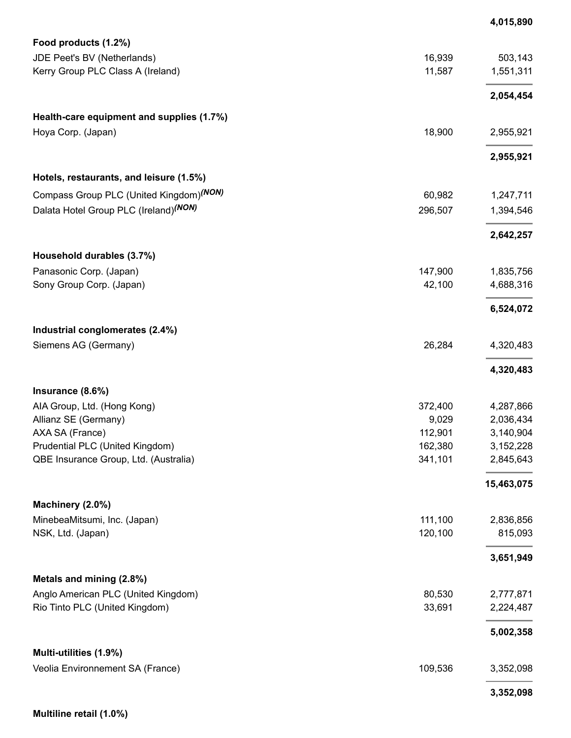|                                                            |         | 4,015,890  |
|------------------------------------------------------------|---------|------------|
| Food products (1.2%)                                       |         |            |
| JDE Peet's BV (Netherlands)                                | 16,939  | 503,143    |
| Kerry Group PLC Class A (Ireland)                          | 11,587  | 1,551,311  |
|                                                            |         | 2,054,454  |
| Health-care equipment and supplies (1.7%)                  |         |            |
| Hoya Corp. (Japan)                                         | 18,900  | 2,955,921  |
|                                                            |         | 2,955,921  |
| Hotels, restaurants, and leisure (1.5%)                    |         |            |
| Compass Group PLC (United Kingdom)(NON)                    | 60,982  | 1,247,711  |
| Dalata Hotel Group PLC (Ireland) <sup>(NON)</sup>          | 296,507 | 1,394,546  |
|                                                            |         | 2,642,257  |
| Household durables (3.7%)                                  |         |            |
| Panasonic Corp. (Japan)                                    | 147,900 | 1,835,756  |
| Sony Group Corp. (Japan)                                   | 42,100  | 4,688,316  |
|                                                            |         | 6,524,072  |
| Industrial conglomerates (2.4%)                            |         |            |
| Siemens AG (Germany)                                       | 26,284  | 4,320,483  |
|                                                            |         | 4,320,483  |
| Insurance (8.6%)                                           |         |            |
| AIA Group, Ltd. (Hong Kong)                                | 372,400 | 4,287,866  |
| Allianz SE (Germany)                                       | 9,029   | 2,036,434  |
| AXA SA (France)                                            | 112,901 | 3,140,904  |
| Prudential PLC (United Kingdom)                            | 162,380 | 3,152,228  |
| QBE Insurance Group, Ltd. (Australia)                      | 341,101 | 2,845,643  |
|                                                            |         | 15,463,075 |
| Machinery (2.0%)                                           |         |            |
| MinebeaMitsumi, Inc. (Japan)                               | 111,100 | 2,836,856  |
| NSK, Ltd. (Japan)                                          | 120,100 | 815,093    |
|                                                            |         | 3,651,949  |
| Metals and mining (2.8%)                                   |         |            |
| Anglo American PLC (United Kingdom)                        | 80,530  | 2,777,871  |
| Rio Tinto PLC (United Kingdom)                             | 33,691  | 2,224,487  |
|                                                            |         | 5,002,358  |
| Multi-utilities (1.9%)<br>Veolia Environnement SA (France) | 109,536 | 3,352,098  |
|                                                            |         | 3,352,098  |
|                                                            |         |            |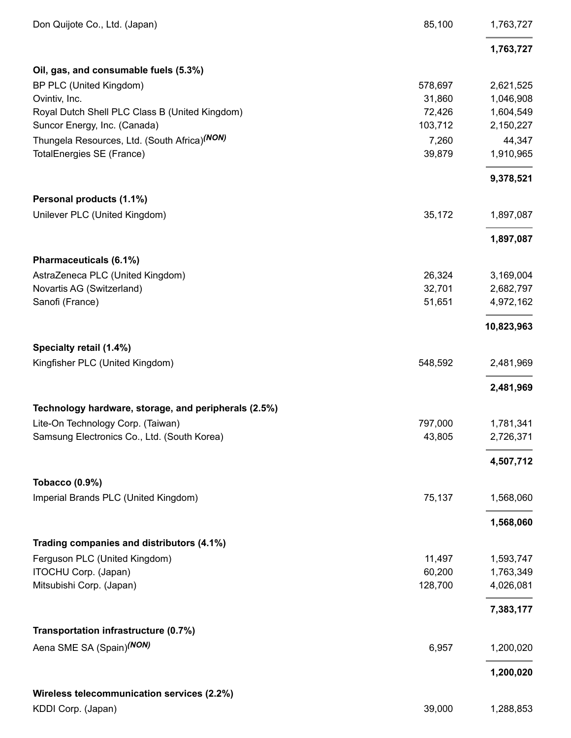| Don Quijote Co., Ltd. (Japan)                        | 85,100  | 1,763,727  |
|------------------------------------------------------|---------|------------|
|                                                      |         | 1,763,727  |
| Oil, gas, and consumable fuels (5.3%)                |         |            |
| BP PLC (United Kingdom)                              | 578,697 | 2,621,525  |
| Ovintiv, Inc.                                        | 31,860  | 1,046,908  |
| Royal Dutch Shell PLC Class B (United Kingdom)       | 72,426  | 1,604,549  |
| Suncor Energy, Inc. (Canada)                         | 103,712 | 2,150,227  |
| Thungela Resources, Ltd. (South Africa)(NON)         | 7,260   | 44,347     |
| TotalEnergies SE (France)                            | 39,879  | 1,910,965  |
|                                                      |         | 9,378,521  |
| Personal products (1.1%)                             |         |            |
| Unilever PLC (United Kingdom)                        | 35,172  | 1,897,087  |
|                                                      |         | 1,897,087  |
| Pharmaceuticals (6.1%)                               |         |            |
| AstraZeneca PLC (United Kingdom)                     | 26,324  | 3,169,004  |
| Novartis AG (Switzerland)                            | 32,701  | 2,682,797  |
| Sanofi (France)                                      | 51,651  | 4,972,162  |
|                                                      |         | 10,823,963 |
| Specialty retail (1.4%)                              |         |            |
| Kingfisher PLC (United Kingdom)                      | 548,592 | 2,481,969  |
|                                                      |         | 2,481,969  |
| Technology hardware, storage, and peripherals (2.5%) |         |            |
| Lite-On Technology Corp. (Taiwan)                    | 797,000 | 1,781,341  |
| Samsung Electronics Co., Ltd. (South Korea)          | 43,805  | 2,726,371  |
|                                                      |         | 4,507,712  |
| <b>Tobacco (0.9%)</b>                                |         |            |
| Imperial Brands PLC (United Kingdom)                 | 75,137  | 1,568,060  |
|                                                      |         | 1,568,060  |
| Trading companies and distributors (4.1%)            |         |            |
| Ferguson PLC (United Kingdom)                        | 11,497  | 1,593,747  |
| ITOCHU Corp. (Japan)                                 | 60,200  | 1,763,349  |
| Mitsubishi Corp. (Japan)                             | 128,700 | 4,026,081  |
|                                                      |         | 7,383,177  |
| Transportation infrastructure (0.7%)                 |         |            |
| Aena SME SA (Spain) <sup>(NON)</sup>                 | 6,957   | 1,200,020  |
|                                                      |         | 1,200,020  |
| Wireless telecommunication services (2.2%)           |         |            |
| KDDI Corp. (Japan)                                   | 39,000  | 1,288,853  |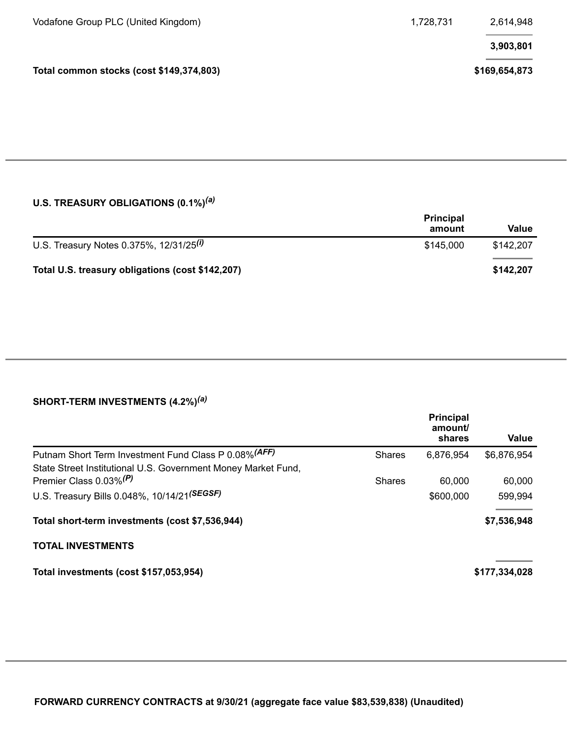| Vodafone Group PLC (United Kingdom)      | 1,728,731 | 2,614,948     |
|------------------------------------------|-----------|---------------|
|                                          |           | 3,903,801     |
| Total common stocks (cost \$149,374,803) |           | \$169,654,873 |

## **U.S. TREASURY OBLIGATIONS (0.1%)** *(a)*

|                                                     | <b>Principal</b><br>amount | Value     |
|-----------------------------------------------------|----------------------------|-----------|
| U.S. Treasury Notes 0.375%, 12/31/25 <sup>(i)</sup> | \$145,000                  | \$142,207 |
| Total U.S. treasury obligations (cost \$142,207)    |                            | \$142,207 |

## **SHORT-TERM INVESTMENTS (4.2%)** *(a)*

|                                                               |               | <b>Principal</b><br>amount/<br>shares | <b>Value</b>  |
|---------------------------------------------------------------|---------------|---------------------------------------|---------------|
| Putnam Short Term Investment Fund Class P 0.08% (AFF)         | <b>Shares</b> | 6,876,954                             | \$6,876,954   |
| State Street Institutional U.S. Government Money Market Fund, |               |                                       |               |
| Premier Class 0.03% <sup>(P)</sup>                            | <b>Shares</b> | 60,000                                | 60,000        |
| U.S. Treasury Bills 0.048%, 10/14/21(SEGSF)                   |               | \$600,000                             | 599,994       |
| Total short-term investments (cost \$7,536,944)               |               |                                       | \$7,536,948   |
| <b>TOTAL INVESTMENTS</b>                                      |               |                                       |               |
| Total investments (cost \$157,053,954)                        |               |                                       | \$177,334,028 |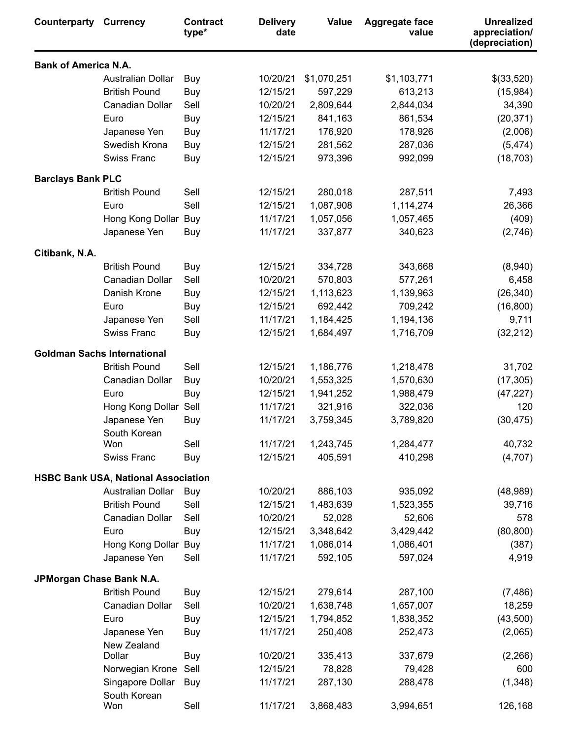| <b>Bank of America N.A.</b><br><b>Australian Dollar</b><br>10/20/21<br>\$1,070,251<br>\$1,103,771<br>\$(33,520)<br>Buy<br><b>British Pound</b><br>12/15/21<br>597,229<br>613,213<br>(15,984)<br>Buy<br>Canadian Dollar<br>Sell<br>10/20/21<br>2,809,644<br>2,844,034<br>34,390<br>12/15/21<br>841,163<br>861,534<br>(20, 371)<br>Euro<br>Buy<br>11/17/21<br>176,920<br>178,926<br>(2,006)<br>Japanese Yen<br>Buy<br>Swedish Krona<br>12/15/21<br>281,562<br>287,036<br>(5, 474)<br>Buy<br><b>Swiss Franc</b><br>12/15/21<br>973,396<br>992,099<br>(18, 703)<br>Buy<br><b>Barclays Bank PLC</b><br><b>British Pound</b><br>12/15/21<br>280,018<br>287,511<br>7,493<br>Sell<br>Sell<br>12/15/21<br>1,087,908<br>1,114,274<br>26,366<br>Euro<br>11/17/21<br>Hong Kong Dollar<br>1,057,056<br>1,057,465<br>(409)<br>Buy<br>Japanese Yen<br>11/17/21<br>337,877<br>340,623<br>(2,746)<br>Buy<br>Citibank, N.A.<br><b>British Pound</b><br>12/15/21<br>Buy<br>334,728<br>343,668<br>(8,940)<br>Canadian Dollar<br>Sell<br>10/20/21<br>570,803<br>577,261<br>6,458<br>(26, 340)<br>Danish Krone<br>Buy<br>12/15/21<br>1,113,623<br>1,139,963<br>12/15/21<br>692,442<br>709,242<br>(16, 800)<br>Euro<br>Buy<br>11/17/21<br>Sell<br>1,184,425<br>1,194,136<br>9,711<br>Japanese Yen<br><b>Swiss Franc</b><br>12/15/21<br>1,684,497<br>1,716,709<br>(32, 212)<br>Buy<br><b>Goldman Sachs International</b> | Counterparty | <b>Currency</b> | <b>Contract</b><br>type* | <b>Delivery</b><br>date | <b>Value</b> | Aggregate face<br>value | <b>Unrealized</b><br>appreciation/<br>(depreciation) |
|--------------------------------------------------------------------------------------------------------------------------------------------------------------------------------------------------------------------------------------------------------------------------------------------------------------------------------------------------------------------------------------------------------------------------------------------------------------------------------------------------------------------------------------------------------------------------------------------------------------------------------------------------------------------------------------------------------------------------------------------------------------------------------------------------------------------------------------------------------------------------------------------------------------------------------------------------------------------------------------------------------------------------------------------------------------------------------------------------------------------------------------------------------------------------------------------------------------------------------------------------------------------------------------------------------------------------------------------------------------------------------------------------|--------------|-----------------|--------------------------|-------------------------|--------------|-------------------------|------------------------------------------------------|
|                                                                                                                                                                                                                                                                                                                                                                                                                                                                                                                                                                                                                                                                                                                                                                                                                                                                                                                                                                                                                                                                                                                                                                                                                                                                                                                                                                                                  |              |                 |                          |                         |              |                         |                                                      |
|                                                                                                                                                                                                                                                                                                                                                                                                                                                                                                                                                                                                                                                                                                                                                                                                                                                                                                                                                                                                                                                                                                                                                                                                                                                                                                                                                                                                  |              |                 |                          |                         |              |                         |                                                      |
|                                                                                                                                                                                                                                                                                                                                                                                                                                                                                                                                                                                                                                                                                                                                                                                                                                                                                                                                                                                                                                                                                                                                                                                                                                                                                                                                                                                                  |              |                 |                          |                         |              |                         |                                                      |
|                                                                                                                                                                                                                                                                                                                                                                                                                                                                                                                                                                                                                                                                                                                                                                                                                                                                                                                                                                                                                                                                                                                                                                                                                                                                                                                                                                                                  |              |                 |                          |                         |              |                         |                                                      |
|                                                                                                                                                                                                                                                                                                                                                                                                                                                                                                                                                                                                                                                                                                                                                                                                                                                                                                                                                                                                                                                                                                                                                                                                                                                                                                                                                                                                  |              |                 |                          |                         |              |                         |                                                      |
|                                                                                                                                                                                                                                                                                                                                                                                                                                                                                                                                                                                                                                                                                                                                                                                                                                                                                                                                                                                                                                                                                                                                                                                                                                                                                                                                                                                                  |              |                 |                          |                         |              |                         |                                                      |
|                                                                                                                                                                                                                                                                                                                                                                                                                                                                                                                                                                                                                                                                                                                                                                                                                                                                                                                                                                                                                                                                                                                                                                                                                                                                                                                                                                                                  |              |                 |                          |                         |              |                         |                                                      |
|                                                                                                                                                                                                                                                                                                                                                                                                                                                                                                                                                                                                                                                                                                                                                                                                                                                                                                                                                                                                                                                                                                                                                                                                                                                                                                                                                                                                  |              |                 |                          |                         |              |                         |                                                      |
|                                                                                                                                                                                                                                                                                                                                                                                                                                                                                                                                                                                                                                                                                                                                                                                                                                                                                                                                                                                                                                                                                                                                                                                                                                                                                                                                                                                                  |              |                 |                          |                         |              |                         |                                                      |
|                                                                                                                                                                                                                                                                                                                                                                                                                                                                                                                                                                                                                                                                                                                                                                                                                                                                                                                                                                                                                                                                                                                                                                                                                                                                                                                                                                                                  |              |                 |                          |                         |              |                         |                                                      |
|                                                                                                                                                                                                                                                                                                                                                                                                                                                                                                                                                                                                                                                                                                                                                                                                                                                                                                                                                                                                                                                                                                                                                                                                                                                                                                                                                                                                  |              |                 |                          |                         |              |                         |                                                      |
|                                                                                                                                                                                                                                                                                                                                                                                                                                                                                                                                                                                                                                                                                                                                                                                                                                                                                                                                                                                                                                                                                                                                                                                                                                                                                                                                                                                                  |              |                 |                          |                         |              |                         |                                                      |
|                                                                                                                                                                                                                                                                                                                                                                                                                                                                                                                                                                                                                                                                                                                                                                                                                                                                                                                                                                                                                                                                                                                                                                                                                                                                                                                                                                                                  |              |                 |                          |                         |              |                         |                                                      |
|                                                                                                                                                                                                                                                                                                                                                                                                                                                                                                                                                                                                                                                                                                                                                                                                                                                                                                                                                                                                                                                                                                                                                                                                                                                                                                                                                                                                  |              |                 |                          |                         |              |                         |                                                      |
|                                                                                                                                                                                                                                                                                                                                                                                                                                                                                                                                                                                                                                                                                                                                                                                                                                                                                                                                                                                                                                                                                                                                                                                                                                                                                                                                                                                                  |              |                 |                          |                         |              |                         |                                                      |
|                                                                                                                                                                                                                                                                                                                                                                                                                                                                                                                                                                                                                                                                                                                                                                                                                                                                                                                                                                                                                                                                                                                                                                                                                                                                                                                                                                                                  |              |                 |                          |                         |              |                         |                                                      |
|                                                                                                                                                                                                                                                                                                                                                                                                                                                                                                                                                                                                                                                                                                                                                                                                                                                                                                                                                                                                                                                                                                                                                                                                                                                                                                                                                                                                  |              |                 |                          |                         |              |                         |                                                      |
|                                                                                                                                                                                                                                                                                                                                                                                                                                                                                                                                                                                                                                                                                                                                                                                                                                                                                                                                                                                                                                                                                                                                                                                                                                                                                                                                                                                                  |              |                 |                          |                         |              |                         |                                                      |
|                                                                                                                                                                                                                                                                                                                                                                                                                                                                                                                                                                                                                                                                                                                                                                                                                                                                                                                                                                                                                                                                                                                                                                                                                                                                                                                                                                                                  |              |                 |                          |                         |              |                         |                                                      |
|                                                                                                                                                                                                                                                                                                                                                                                                                                                                                                                                                                                                                                                                                                                                                                                                                                                                                                                                                                                                                                                                                                                                                                                                                                                                                                                                                                                                  |              |                 |                          |                         |              |                         |                                                      |
|                                                                                                                                                                                                                                                                                                                                                                                                                                                                                                                                                                                                                                                                                                                                                                                                                                                                                                                                                                                                                                                                                                                                                                                                                                                                                                                                                                                                  |              |                 |                          |                         |              |                         |                                                      |
| <b>British Pound</b><br>Sell<br>12/15/21<br>31,702<br>1,186,776<br>1,218,478                                                                                                                                                                                                                                                                                                                                                                                                                                                                                                                                                                                                                                                                                                                                                                                                                                                                                                                                                                                                                                                                                                                                                                                                                                                                                                                     |              |                 |                          |                         |              |                         |                                                      |
| Canadian Dollar<br>10/20/21<br>1,553,325<br>1,570,630<br>(17, 305)<br>Buy                                                                                                                                                                                                                                                                                                                                                                                                                                                                                                                                                                                                                                                                                                                                                                                                                                                                                                                                                                                                                                                                                                                                                                                                                                                                                                                        |              |                 |                          |                         |              |                         |                                                      |
| Buy<br>12/15/21<br>1,941,252<br>1,988,479<br>Euro<br>(47, 227)                                                                                                                                                                                                                                                                                                                                                                                                                                                                                                                                                                                                                                                                                                                                                                                                                                                                                                                                                                                                                                                                                                                                                                                                                                                                                                                                   |              |                 |                          |                         |              |                         |                                                      |
| 11/17/21<br>Hong Kong Dollar Sell<br>321,916<br>322,036<br>120                                                                                                                                                                                                                                                                                                                                                                                                                                                                                                                                                                                                                                                                                                                                                                                                                                                                                                                                                                                                                                                                                                                                                                                                                                                                                                                                   |              |                 |                          |                         |              |                         |                                                      |
| 11/17/21<br>Japanese Yen<br>3,759,345<br>3,789,820<br>(30, 475)<br>Buy<br>South Korean                                                                                                                                                                                                                                                                                                                                                                                                                                                                                                                                                                                                                                                                                                                                                                                                                                                                                                                                                                                                                                                                                                                                                                                                                                                                                                           |              |                 |                          |                         |              |                         |                                                      |
| 11/17/21<br>Sell<br>1,243,745<br>1,284,477<br>40,732<br>Won                                                                                                                                                                                                                                                                                                                                                                                                                                                                                                                                                                                                                                                                                                                                                                                                                                                                                                                                                                                                                                                                                                                                                                                                                                                                                                                                      |              |                 |                          |                         |              |                         |                                                      |
| <b>Swiss Franc</b><br>12/15/21<br>405,591<br>410,298<br>(4,707)<br>Buy                                                                                                                                                                                                                                                                                                                                                                                                                                                                                                                                                                                                                                                                                                                                                                                                                                                                                                                                                                                                                                                                                                                                                                                                                                                                                                                           |              |                 |                          |                         |              |                         |                                                      |
| <b>HSBC Bank USA, National Association</b>                                                                                                                                                                                                                                                                                                                                                                                                                                                                                                                                                                                                                                                                                                                                                                                                                                                                                                                                                                                                                                                                                                                                                                                                                                                                                                                                                       |              |                 |                          |                         |              |                         |                                                      |
| <b>Australian Dollar</b><br>10/20/21<br>886,103<br>935,092<br>(48,989)<br>Buy                                                                                                                                                                                                                                                                                                                                                                                                                                                                                                                                                                                                                                                                                                                                                                                                                                                                                                                                                                                                                                                                                                                                                                                                                                                                                                                    |              |                 |                          |                         |              |                         |                                                      |
| <b>British Pound</b><br>Sell<br>12/15/21<br>1,483,639<br>1,523,355<br>39,716                                                                                                                                                                                                                                                                                                                                                                                                                                                                                                                                                                                                                                                                                                                                                                                                                                                                                                                                                                                                                                                                                                                                                                                                                                                                                                                     |              |                 |                          |                         |              |                         |                                                      |
| Canadian Dollar<br>10/20/21<br>52,028<br>52,606<br>578<br>Sell                                                                                                                                                                                                                                                                                                                                                                                                                                                                                                                                                                                                                                                                                                                                                                                                                                                                                                                                                                                                                                                                                                                                                                                                                                                                                                                                   |              |                 |                          |                         |              |                         |                                                      |
| (80, 800)<br>Buy<br>12/15/21<br>3,348,642<br>3,429,442<br>Euro                                                                                                                                                                                                                                                                                                                                                                                                                                                                                                                                                                                                                                                                                                                                                                                                                                                                                                                                                                                                                                                                                                                                                                                                                                                                                                                                   |              |                 |                          |                         |              |                         |                                                      |
| Hong Kong Dollar Buy<br>11/17/21<br>1,086,014<br>1,086,401<br>(387)                                                                                                                                                                                                                                                                                                                                                                                                                                                                                                                                                                                                                                                                                                                                                                                                                                                                                                                                                                                                                                                                                                                                                                                                                                                                                                                              |              |                 |                          |                         |              |                         |                                                      |
| Japanese Yen<br>Sell<br>11/17/21<br>592,105<br>597,024<br>4,919                                                                                                                                                                                                                                                                                                                                                                                                                                                                                                                                                                                                                                                                                                                                                                                                                                                                                                                                                                                                                                                                                                                                                                                                                                                                                                                                  |              |                 |                          |                         |              |                         |                                                      |
| JPMorgan Chase Bank N.A.                                                                                                                                                                                                                                                                                                                                                                                                                                                                                                                                                                                                                                                                                                                                                                                                                                                                                                                                                                                                                                                                                                                                                                                                                                                                                                                                                                         |              |                 |                          |                         |              |                         |                                                      |
| <b>British Pound</b><br>12/15/21<br>279,614<br>287,100<br>(7, 486)<br>Buy                                                                                                                                                                                                                                                                                                                                                                                                                                                                                                                                                                                                                                                                                                                                                                                                                                                                                                                                                                                                                                                                                                                                                                                                                                                                                                                        |              |                 |                          |                         |              |                         |                                                      |
| Canadian Dollar<br>Sell<br>10/20/21<br>1,638,748<br>1,657,007<br>18,259                                                                                                                                                                                                                                                                                                                                                                                                                                                                                                                                                                                                                                                                                                                                                                                                                                                                                                                                                                                                                                                                                                                                                                                                                                                                                                                          |              |                 |                          |                         |              |                         |                                                      |
| 12/15/21<br>(43,500)<br>Euro<br>Buy<br>1,794,852<br>1,838,352                                                                                                                                                                                                                                                                                                                                                                                                                                                                                                                                                                                                                                                                                                                                                                                                                                                                                                                                                                                                                                                                                                                                                                                                                                                                                                                                    |              |                 |                          |                         |              |                         |                                                      |
| Japanese Yen<br>11/17/21<br>250,408<br>Buy<br>252,473<br>(2,065)                                                                                                                                                                                                                                                                                                                                                                                                                                                                                                                                                                                                                                                                                                                                                                                                                                                                                                                                                                                                                                                                                                                                                                                                                                                                                                                                 |              |                 |                          |                         |              |                         |                                                      |
| New Zealand<br>10/20/21<br>335,413<br>337,679<br>(2, 266)<br>Dollar<br>Buy                                                                                                                                                                                                                                                                                                                                                                                                                                                                                                                                                                                                                                                                                                                                                                                                                                                                                                                                                                                                                                                                                                                                                                                                                                                                                                                       |              |                 |                          |                         |              |                         |                                                      |
| Sell<br>12/15/21<br>78,828<br>79,428<br>600<br>Norwegian Krone                                                                                                                                                                                                                                                                                                                                                                                                                                                                                                                                                                                                                                                                                                                                                                                                                                                                                                                                                                                                                                                                                                                                                                                                                                                                                                                                   |              |                 |                          |                         |              |                         |                                                      |
| Singapore Dollar<br>11/17/21<br>287,130<br>Buy<br>288,478<br>(1,348)                                                                                                                                                                                                                                                                                                                                                                                                                                                                                                                                                                                                                                                                                                                                                                                                                                                                                                                                                                                                                                                                                                                                                                                                                                                                                                                             |              |                 |                          |                         |              |                         |                                                      |
| South Korean<br>11/17/21<br>Won<br>Sell<br>3,868,483<br>3,994,651<br>126,168                                                                                                                                                                                                                                                                                                                                                                                                                                                                                                                                                                                                                                                                                                                                                                                                                                                                                                                                                                                                                                                                                                                                                                                                                                                                                                                     |              |                 |                          |                         |              |                         |                                                      |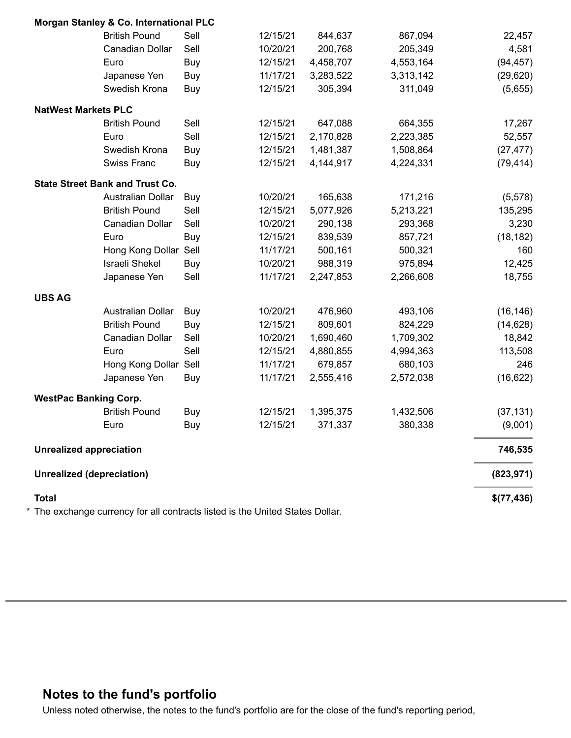|                                  | Morgan Stanley & Co. International PLC |      |          |           |           |            |
|----------------------------------|----------------------------------------|------|----------|-----------|-----------|------------|
|                                  | <b>British Pound</b>                   | Sell | 12/15/21 | 844,637   | 867,094   | 22,457     |
|                                  | Canadian Dollar                        | Sell | 10/20/21 | 200,768   | 205,349   | 4,581      |
|                                  | Euro                                   | Buy  | 12/15/21 | 4,458,707 | 4,553,164 | (94, 457)  |
|                                  | Japanese Yen                           | Buy  | 11/17/21 | 3,283,522 | 3,313,142 | (29, 620)  |
|                                  | Swedish Krona                          | Buy  | 12/15/21 | 305,394   | 311,049   | (5,655)    |
| <b>NatWest Markets PLC</b>       |                                        |      |          |           |           |            |
|                                  | <b>British Pound</b>                   | Sell | 12/15/21 | 647,088   | 664,355   | 17,267     |
|                                  | Euro                                   | Sell | 12/15/21 | 2,170,828 | 2,223,385 | 52,557     |
|                                  | Swedish Krona                          | Buy  | 12/15/21 | 1,481,387 | 1,508,864 | (27, 477)  |
|                                  | <b>Swiss Franc</b>                     | Buy  | 12/15/21 | 4,144,917 | 4,224,331 | (79, 414)  |
|                                  | <b>State Street Bank and Trust Co.</b> |      |          |           |           |            |
|                                  | Australian Dollar                      | Buy  | 10/20/21 | 165,638   | 171,216   | (5, 578)   |
|                                  | <b>British Pound</b>                   | Sell | 12/15/21 | 5,077,926 | 5,213,221 | 135,295    |
|                                  | Canadian Dollar                        | Sell | 10/20/21 | 290,138   | 293,368   | 3,230      |
|                                  | Euro                                   | Buy  | 12/15/21 | 839,539   | 857,721   | (18, 182)  |
|                                  | Hong Kong Dollar                       | Sell | 11/17/21 | 500,161   | 500,321   | 160        |
|                                  | <b>Israeli Shekel</b>                  | Buy  | 10/20/21 | 988,319   | 975,894   | 12,425     |
|                                  | Japanese Yen                           | Sell | 11/17/21 | 2,247,853 | 2,266,608 | 18,755     |
| <b>UBS AG</b>                    |                                        |      |          |           |           |            |
|                                  | Australian Dollar                      | Buy  | 10/20/21 | 476,960   | 493,106   | (16, 146)  |
|                                  | <b>British Pound</b>                   | Buy  | 12/15/21 | 809,601   | 824,229   | (14, 628)  |
|                                  | Canadian Dollar                        | Sell | 10/20/21 | 1,690,460 | 1,709,302 | 18,842     |
|                                  | Euro                                   | Sell | 12/15/21 | 4,880,855 | 4,994,363 | 113,508    |
|                                  | Hong Kong Dollar                       | Sell | 11/17/21 | 679,857   | 680,103   | 246        |
|                                  | Japanese Yen                           | Buy  | 11/17/21 | 2,555,416 | 2,572,038 | (16, 622)  |
| <b>WestPac Banking Corp.</b>     |                                        |      |          |           |           |            |
|                                  | <b>British Pound</b>                   | Buy  | 12/15/21 | 1,395,375 | 1,432,506 | (37, 131)  |
|                                  | Euro                                   | Buy  | 12/15/21 | 371,337   | 380,338   | (9,001)    |
| <b>Unrealized appreciation</b>   |                                        |      |          |           |           | 746,535    |
| <b>Unrealized (depreciation)</b> |                                        |      |          |           |           | (823, 971) |
| <b>Total</b>                     |                                        |      |          |           |           | \$(77,436) |

\* The exchange currency for all contracts listed is the United States Dollar.

# **Notes to the fund's portfolio**

Unless noted otherwise, the notes to the fund's portfolio are for the close of the fund's reporting period,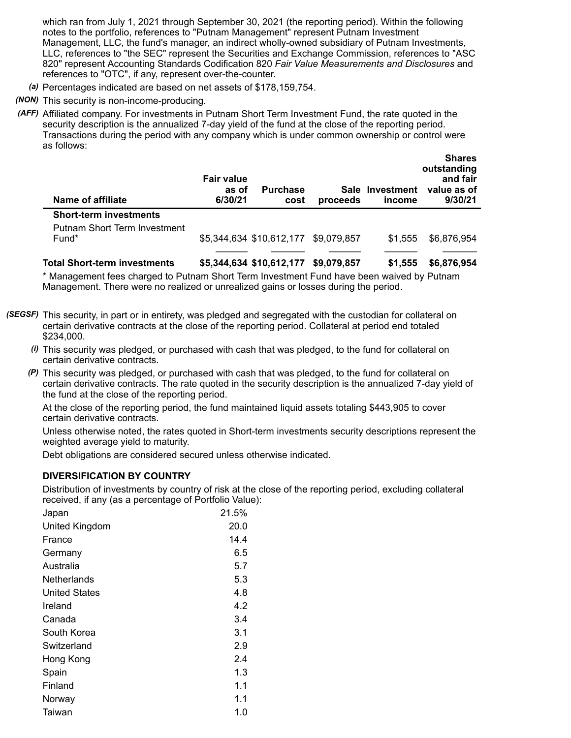which ran from July 1, 2021 through September 30, 2021 (the reporting period). Within the following notes to the portfolio, references to "Putnam Management" represent Putnam Investment Management, LLC, the fund's manager, an indirect wholly-owned subsidiary of Putnam Investments, LLC, references to "the SEC" represent the Securities and Exchange Commission, references to "ASC 820" represent Accounting Standards Codification 820 *Fair Value Measurements and Disclosures* and references to "OTC", if any, represent over-the-counter.

- *(a)* Percentages indicated are based on net assets of \$178,159,754.
- *(NON)* This security is non-income-producing.

*(AFF)* Affiliated company. For investments in Putnam Short Term Investment Fund, the rate quoted in the security description is the annualized 7-day yield of the fund at the close of the reporting period. Transactions during the period with any company which is under common ownership or control were as follows:

| Name of affiliate                   | <b>Fair value</b><br>as of<br>6/30/21 | <b>Purchase</b><br>cost              | proceeds    | Sale Investment<br>income | VIIAI 69<br>outstanding<br>and fair<br>value as of<br>9/30/21 |
|-------------------------------------|---------------------------------------|--------------------------------------|-------------|---------------------------|---------------------------------------------------------------|
| <b>Short-term investments</b>       |                                       |                                      |             |                           |                                                               |
| Putnam Short Term Investment        |                                       |                                      |             |                           |                                                               |
| Fund*                               |                                       | \$5,344,634 \$10,612,177 \$9,079,857 |             | \$1.555                   | \$6,876,954                                                   |
|                                     |                                       |                                      |             |                           |                                                               |
| <b>Total Short-term investments</b> |                                       | \$5,344,634 \$10,612,177             | \$9,079,857 | \$1,555                   | \$6,876,954                                                   |

**Shares**

\* Management fees charged to Putnam Short Term Investment Fund have been waived by Putnam Management. There were no realized or unrealized gains or losses during the period.

- *(SEGSF)* This security, in part or in entirety, was pledged and segregated with the custodian for collateral on certain derivative contracts at the close of the reporting period. Collateral at period end totaled \$234,000.
	- *(i)* This security was pledged, or purchased with cash that was pledged, to the fund for collateral on certain derivative contracts.
	- *(P)* This security was pledged, or purchased with cash that was pledged, to the fund for collateral on certain derivative contracts. The rate quoted in the security description is the annualized 7-day yield of the fund at the close of the reporting period.

At the close of the reporting period, the fund maintained liquid assets totaling \$443,905 to cover certain derivative contracts.

Unless otherwise noted, the rates quoted in Short-term investments security descriptions represent the weighted average yield to maturity.

Debt obligations are considered secured unless otherwise indicated.

### **DIVERSIFICATION BY COUNTRY**

Distribution of investments by country of risk at the close of the reporting period, excluding collateral received, if any (as a percentage of Portfolio Value):

| Japan                | 21.5% |
|----------------------|-------|
| United Kingdom       | 20.0  |
| France               | 14.4  |
| Germany              | 6.5   |
| Australia            | 5.7   |
| Netherlands          | 5.3   |
| <b>United States</b> | 4.8   |
| Ireland              | 4.2   |
| Canada               | 3.4   |
| South Korea          | 3.1   |
| Switzerland          | 2.9   |
| Hong Kong            | 2.4   |
| Spain                | 1.3   |
| Finland              | 1.1   |
| Norway               | 1.1   |
| Taiwan               | 1.0   |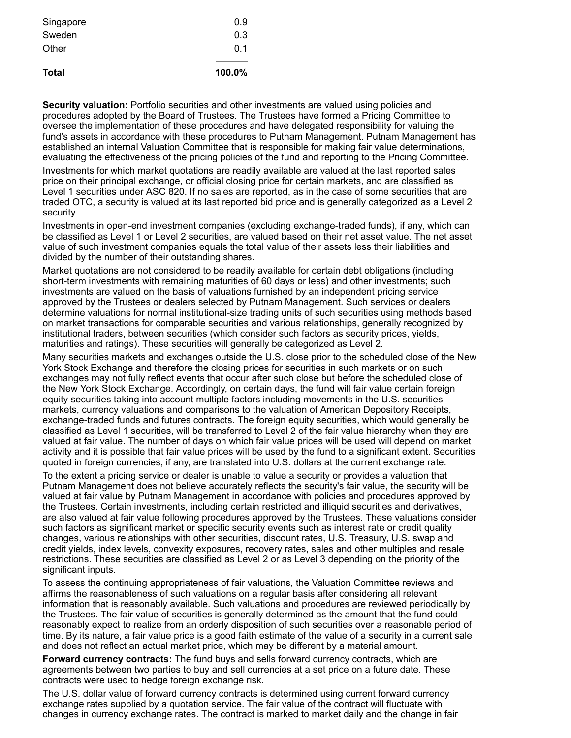| 100.0% |
|--------|
| 0 1    |
| 0.3    |
| 0.9    |
|        |

**Security valuation:** Portfolio securities and other investments are valued using policies and procedures adopted by the Board of Trustees. The Trustees have formed a Pricing Committee to oversee the implementation of these procedures and have delegated responsibility for valuing the fund's assets in accordance with these procedures to Putnam Management. Putnam Management has established an internal Valuation Committee that is responsible for making fair value determinations, evaluating the effectiveness of the pricing policies of the fund and reporting to the Pricing Committee.

Investments for which market quotations are readily available are valued at the last reported sales price on their principal exchange, or official closing price for certain markets, and are classified as Level 1 securities under ASC 820. If no sales are reported, as in the case of some securities that are traded OTC, a security is valued at its last reported bid price and is generally categorized as a Level 2 security.

Investments in open-end investment companies (excluding exchange-traded funds), if any, which can be classified as Level 1 or Level 2 securities, are valued based on their net asset value. The net asset value of such investment companies equals the total value of their assets less their liabilities and divided by the number of their outstanding shares.

Market quotations are not considered to be readily available for certain debt obligations (including short-term investments with remaining maturities of 60 days or less) and other investments; such investments are valued on the basis of valuations furnished by an independent pricing service approved by the Trustees or dealers selected by Putnam Management. Such services or dealers determine valuations for normal institutional-size trading units of such securities using methods based on market transactions for comparable securities and various relationships, generally recognized by institutional traders, between securities (which consider such factors as security prices, yields, maturities and ratings). These securities will generally be categorized as Level 2.

Many securities markets and exchanges outside the U.S. close prior to the scheduled close of the New York Stock Exchange and therefore the closing prices for securities in such markets or on such exchanges may not fully reflect events that occur after such close but before the scheduled close of the New York Stock Exchange. Accordingly, on certain days, the fund will fair value certain foreign equity securities taking into account multiple factors including movements in the U.S. securities markets, currency valuations and comparisons to the valuation of American Depository Receipts, exchange-traded funds and futures contracts. The foreign equity securities, which would generally be classified as Level 1 securities, will be transferred to Level 2 of the fair value hierarchy when they are valued at fair value. The number of days on which fair value prices will be used will depend on market activity and it is possible that fair value prices will be used by the fund to a significant extent. Securities quoted in foreign currencies, if any, are translated into U.S. dollars at the current exchange rate.

To the extent a pricing service or dealer is unable to value a security or provides a valuation that Putnam Management does not believe accurately reflects the security's fair value, the security will be valued at fair value by Putnam Management in accordance with policies and procedures approved by the Trustees. Certain investments, including certain restricted and illiquid securities and derivatives, are also valued at fair value following procedures approved by the Trustees. These valuations consider such factors as significant market or specific security events such as interest rate or credit quality changes, various relationships with other securities, discount rates, U.S. Treasury, U.S. swap and credit yields, index levels, convexity exposures, recovery rates, sales and other multiples and resale restrictions. These securities are classified as Level 2 or as Level 3 depending on the priority of the significant inputs.

To assess the continuing appropriateness of fair valuations, the Valuation Committee reviews and affirms the reasonableness of such valuations on a regular basis after considering all relevant information that is reasonably available. Such valuations and procedures are reviewed periodically by the Trustees. The fair value of securities is generally determined as the amount that the fund could reasonably expect to realize from an orderly disposition of such securities over a reasonable period of time. By its nature, a fair value price is a good faith estimate of the value of a security in a current sale and does not reflect an actual market price, which may be different by a material amount.

**Forward currency contracts:** The fund buys and sells forward currency contracts, which are agreements between two parties to buy and sell currencies at a set price on a future date. These contracts were used to hedge foreign exchange risk.

The U.S. dollar value of forward currency contracts is determined using current forward currency exchange rates supplied by a quotation service. The fair value of the contract will fluctuate with changes in currency exchange rates. The contract is marked to market daily and the change in fair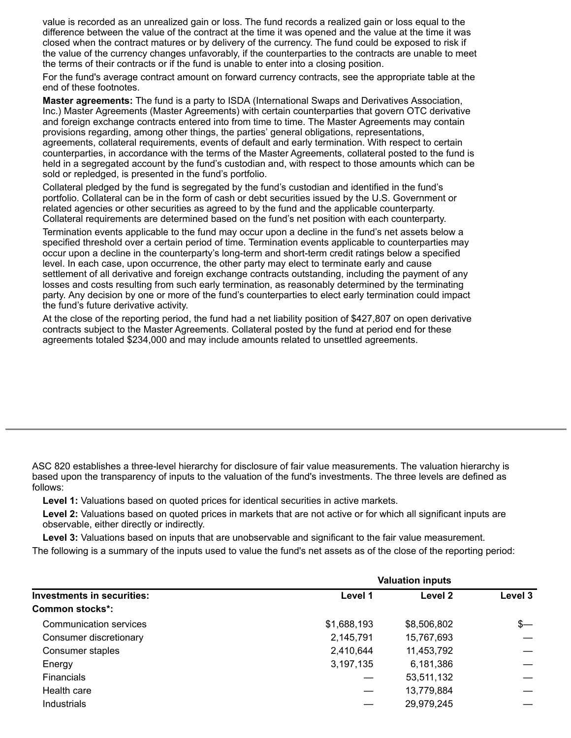value is recorded as an unrealized gain or loss. The fund records a realized gain or loss equal to the difference between the value of the contract at the time it was opened and the value at the time it was closed when the contract matures or by delivery of the currency. The fund could be exposed to risk if the value of the currency changes unfavorably, if the counterparties to the contracts are unable to meet the terms of their contracts or if the fund is unable to enter into a closing position.

For the fund's average contract amount on forward currency contracts, see the appropriate table at the end of these footnotes.

**Master agreements:** The fund is a party to ISDA (International Swaps and Derivatives Association, Inc.) Master Agreements (Master Agreements) with certain counterparties that govern OTC derivative and foreign exchange contracts entered into from time to time. The Master Agreements may contain provisions regarding, among other things, the parties' general obligations, representations, agreements, collateral requirements, events of default and early termination. With respect to certain counterparties, in accordance with the terms of the Master Agreements, collateral posted to the fund is held in a segregated account by the fund's custodian and, with respect to those amounts which can be sold or repledged, is presented in the fund's portfolio.

Collateral pledged by the fund is segregated by the fund's custodian and identified in the fund's portfolio. Collateral can be in the form of cash or debt securities issued by the U.S. Government or related agencies or other securities as agreed to by the fund and the applicable counterparty. Collateral requirements are determined based on the fund's net position with each counterparty.

Termination events applicable to the fund may occur upon a decline in the fund's net assets below a specified threshold over a certain period of time. Termination events applicable to counterparties may occur upon a decline in the counterparty's long-term and short-term credit ratings below a specified level. In each case, upon occurrence, the other party may elect to terminate early and cause settlement of all derivative and foreign exchange contracts outstanding, including the payment of any losses and costs resulting from such early termination, as reasonably determined by the terminating party. Any decision by one or more of the fund's counterparties to elect early termination could impact the fund's future derivative activity.

At the close of the reporting period, the fund had a net liability position of \$427,807 on open derivative contracts subject to the Master Agreements. Collateral posted by the fund at period end for these agreements totaled \$234,000 and may include amounts related to unsettled agreements.

ASC 820 establishes a three-level hierarchy for disclosure of fair value measurements. The valuation hierarchy is based upon the transparency of inputs to the valuation of the fund's investments. The three levels are defined as follows:

**Level 1:** Valuations based on quoted prices for identical securities in active markets.

**Level 2:** Valuations based on quoted prices in markets that are not active or for which all significant inputs are observable, either directly or indirectly.

**Level 3:** Valuations based on inputs that are unobservable and significant to the fair value measurement.

The following is a summary of the inputs used to value the fund's net assets as of the close of the reporting period:

| Investments in securities: | <b>Valuation inputs</b> |             |         |
|----------------------------|-------------------------|-------------|---------|
|                            | Level 1                 | Level 2     | Level 3 |
| <b>Common stocks*:</b>     |                         |             |         |
| Communication services     | \$1,688,193             | \$8,506,802 | $s-$    |
| Consumer discretionary     | 2,145,791               | 15,767,693  |         |
| Consumer staples           | 2,410,644               | 11,453,792  |         |
| Energy                     | 3,197,135               | 6,181,386   |         |
| <b>Financials</b>          |                         | 53,511,132  |         |
| Health care                |                         | 13,779,884  |         |
| Industrials                |                         | 29,979,245  |         |